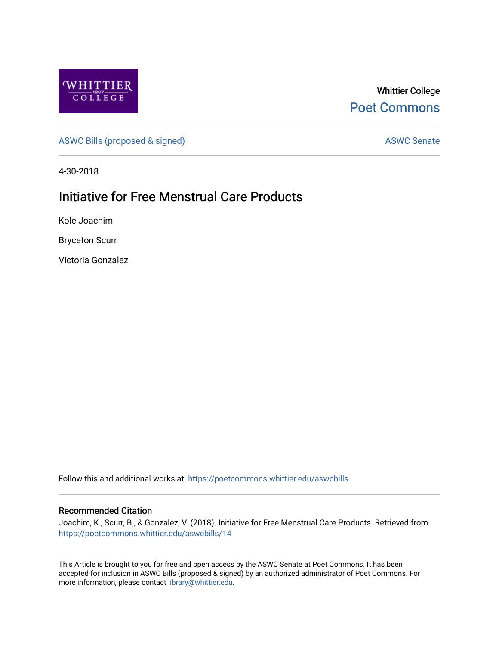

Whittier College [Poet Commons](https://poetcommons.whittier.edu/) 

[ASWC Bills \(proposed & signed\)](https://poetcommons.whittier.edu/aswcbills) ASWC Senate

4-30-2018

## Initiative for Free Menstrual Care Products

Kole Joachim

Bryceton Scurr

Victoria Gonzalez

Follow this and additional works at: [https://poetcommons.whittier.edu/aswcbills](https://poetcommons.whittier.edu/aswcbills?utm_source=poetcommons.whittier.edu%2Faswcbills%2F14&utm_medium=PDF&utm_campaign=PDFCoverPages) 

## Recommended Citation

Joachim, K., Scurr, B., & Gonzalez, V. (2018). Initiative for Free Menstrual Care Products. Retrieved from [https://poetcommons.whittier.edu/aswcbills/14](https://poetcommons.whittier.edu/aswcbills/14?utm_source=poetcommons.whittier.edu%2Faswcbills%2F14&utm_medium=PDF&utm_campaign=PDFCoverPages)

This Article is brought to you for free and open access by the ASWC Senate at Poet Commons. It has been accepted for inclusion in ASWC Bills (proposed & signed) by an authorized administrator of Poet Commons. For more information, please contact [library@whittier.edu.](mailto:library@whittier.edu)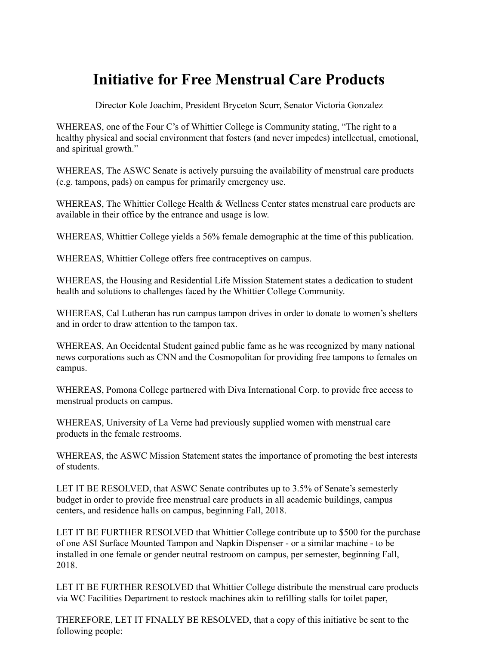## **Initiative for Free Menstrual Care Products**

Director Kole Joachim, President Bryceton Scurr, Senator Victoria Gonzalez

WHEREAS, one of the Four C's of Whittier College is Community stating, "The right to a healthy physical and social environment that fosters (and never impedes) intellectual, emotional, and spiritual growth."

WHEREAS, The ASWC Senate is actively pursuing the availability of menstrual care products (e.g. tampons, pads) on campus for primarily emergency use.

WHEREAS, The Whittier College Health & Wellness Center states menstrual care products are available in their office by the entrance and usage is low.

WHEREAS, Whittier College yields a 56% female demographic at the time of this publication.

WHEREAS, Whittier College offers free contraceptives on campus.

WHEREAS, the Housing and Residential Life Mission Statement states a dedication to student health and solutions to challenges faced by the Whittier College Community.

WHEREAS, Cal Lutheran has run campus tampon drives in order to donate to women's shelters and in order to draw attention to the tampon tax.

WHEREAS, An Occidental Student gained public fame as he was recognized by many national news corporations such as CNN and the Cosmopolitan for providing free tampons to females on campus.

WHEREAS, Pomona College partnered with Diva International Corp. to provide free access to menstrual products on campus.

WHEREAS, University of La Verne had previously supplied women with menstrual care products in the female restrooms.

WHEREAS, the ASWC Mission Statement states the importance of promoting the best interests of students.

LET IT BE RESOLVED, that ASWC Senate contributes up to 3.5% of Senate's semesterly budget in order to provide free menstrual care products in all academic buildings, campus centers, and residence halls on campus, beginning Fall, 2018.

LET IT BE FURTHER RESOLVED that Whittier College contribute up to \$500 for the purchase of one ASI Surface Mounted Tampon and Napkin Dispenser - or a similar machine - to be installed in one female or gender neutral restroom on campus, per semester, beginning Fall, 2018.

LET IT BE FURTHER RESOLVED that Whittier College distribute the menstrual care products via WC Facilities Department to restock machines akin to refilling stalls for toilet paper,

THEREFORE, LET IT FINALLY BE RESOLVED, that a copy of this initiative be sent to the following people: